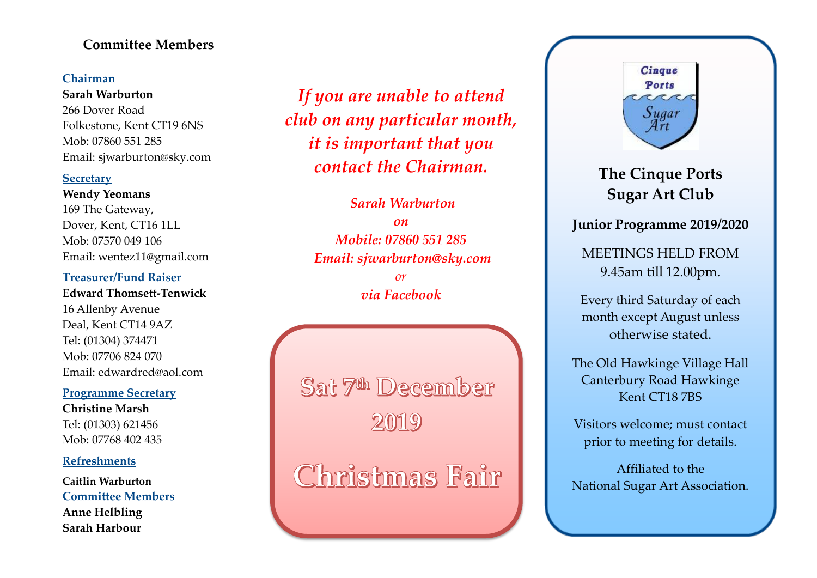# **Committee Members**

### **Chairman**

**Sarah Warburton** 266 Dover Road Folkestone, Kent CT19 6NS Mob: 07860 551 285 Email: sjwarburton@sky.com

#### **Secretary**

**Wendy Yeomans** 169 The Gateway, Dover, Kent, CT16 1LL Mob: 07570 049 106 Email: wentez11@gmail.com

#### **Treasurer/Fund Raiser**

**Edward Thomsett-Tenwick** 16 Allenby Avenue Deal, Kent CT14 9AZ Tel: (01304) 374471 Mob: 07706 824 070 Email: edwardred@aol.com

#### **Programme Secretary**

**Christine Marsh** Tel: (01303) 621456 Mob: 07768 402 435

#### **Refreshments**

**Caitlin Warburton Committee Members Anne Helbling Sarah Harbour**

*If you are unable to attend club on any particular month, it is important that you contact the Chairman.*

> *Sarah Warburton on Mobile: 07860 551 285 Email: sjwarburton@sky.com or via Facebook*

Sat 7th December

Christmas Fair



**The Cinque Ports Sugar Art Club**

# **Junior Programme 2019/2020**

MEETINGS HELD FROM 9.45am till 12.00pm.

Every third Saturday of each month except August unless otherwise stated.

The Old Hawkinge Village Hall Canterbury Road Hawkinge Kent CT18 7BS

Visitors welcome; must contact prior to meeting for details.

Affiliated to the National Sugar Art Association.